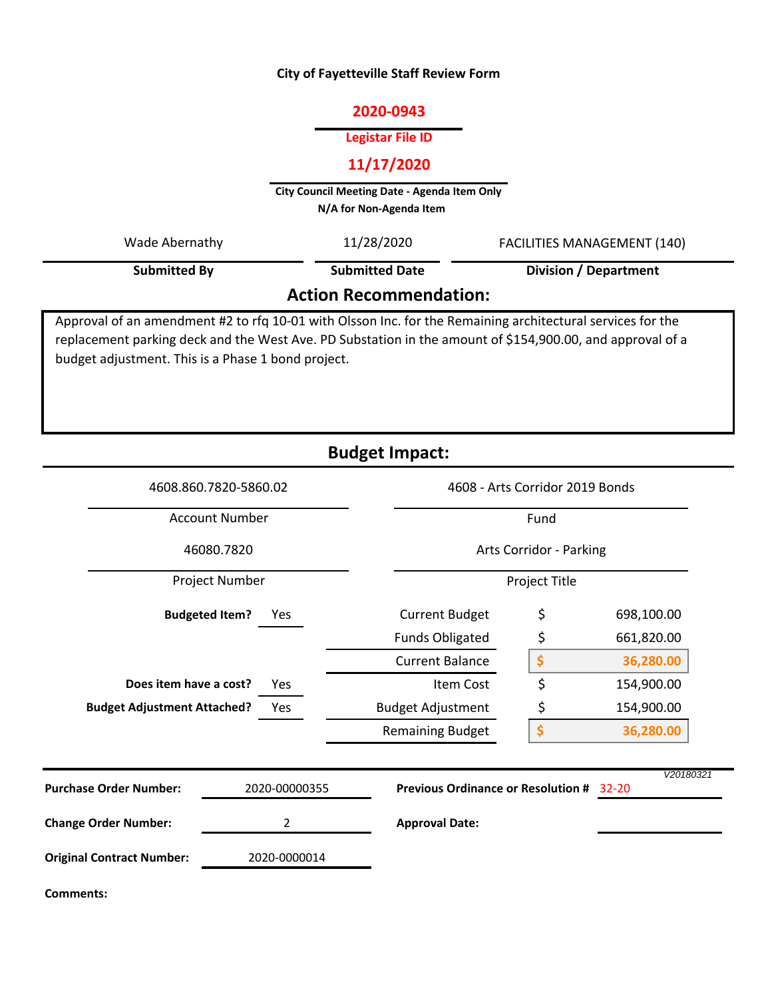### **City of Fayetteville Staff Review Form**

### **2020-0943**

#### **Legistar File ID**

# **11/17/2020**

**City Council Meeting Date - Agenda Item Only N/A for Non-Agenda Item** 

Approval of an amendment #2 to rfq 10-01 with Olsson Inc. for the Remaining architectural services for the **Action Recommendation: Submitted By** Wade Abernathy 11/28/2020 FACILITIES MANAGEMENT (140) **Division / Department** 11/28/2020 **Submitted Date**

replacement parking deck and the West Ave. PD Substation in the amount of \$154,900.00, and approval of a budget adjustment. This is a Phase 1 bond project.

|                                    |                              | <b>Budget Impact:</b>                                  |                                         |            |  |
|------------------------------------|------------------------------|--------------------------------------------------------|-----------------------------------------|------------|--|
|                                    | 4608.860.7820-5860.02        |                                                        | 4608 - Arts Corridor 2019 Bonds<br>Fund |            |  |
| <b>Account Number</b>              |                              |                                                        |                                         |            |  |
| 46080.7820                         |                              |                                                        | Arts Corridor - Parking                 |            |  |
| Project Number                     |                              |                                                        | Project Title                           |            |  |
|                                    | <b>Budgeted Item?</b><br>Yes | <b>Current Budget</b>                                  | \$                                      | 698,100.00 |  |
|                                    |                              | <b>Funds Obligated</b>                                 | \$                                      | 661,820.00 |  |
|                                    |                              | <b>Current Balance</b>                                 | \$                                      | 36,280.00  |  |
| Does item have a cost?<br>Yes      |                              | Item Cost                                              | \$                                      | 154,900.00 |  |
| <b>Budget Adjustment Attached?</b> | Yes                          | <b>Budget Adjustment</b>                               | \$                                      | 154,900.00 |  |
|                                    |                              | <b>Remaining Budget</b>                                | \$                                      | 36,280.00  |  |
| <b>Purchase Order Number:</b>      | 2020-00000355                | <b>Previous Ordinance or Resolution #</b><br>$32 - 20$ |                                         | V20180321  |  |
| <b>Change Order Number:</b>        | 2                            | <b>Approval Date:</b>                                  |                                         |            |  |
| <b>Original Contract Number:</b>   | 2020-0000014                 |                                                        |                                         |            |  |
| <b>Comments:</b>                   |                              |                                                        |                                         |            |  |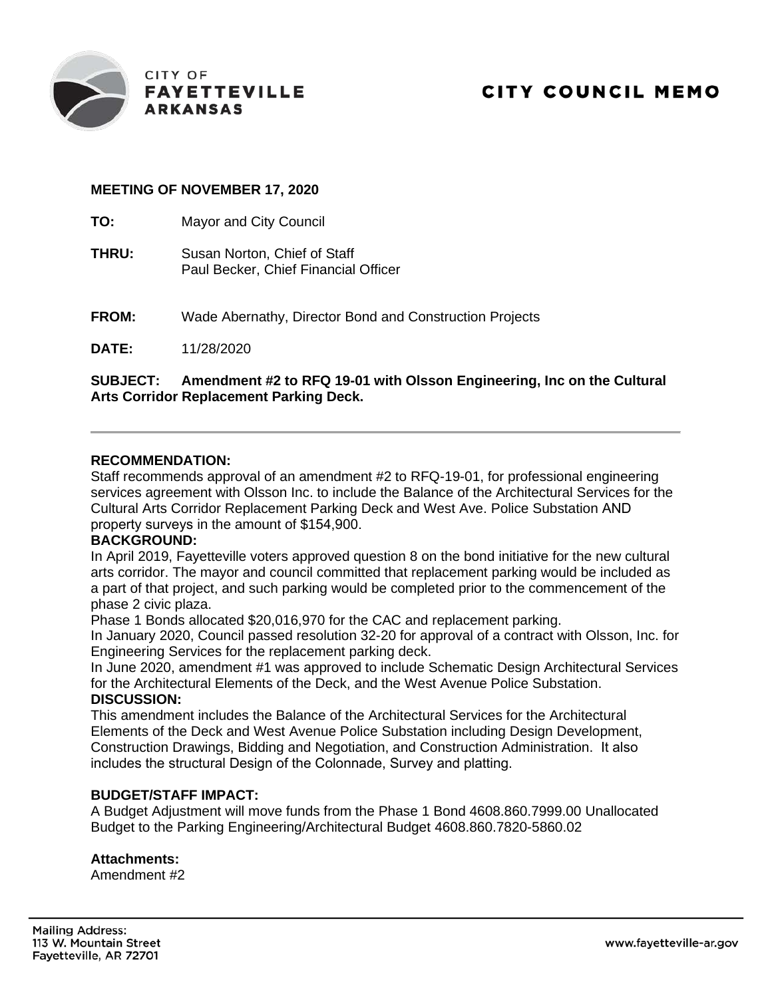

# **CITY COUNCIL MEMO**

### **MEETING OF NOVEMBER 17, 2020**

**TO:** Mayor and City Council

- **THRU:** Susan Norton, Chief of Staff Paul Becker, Chief Financial Officer
- **FROM:** Wade Abernathy, Director Bond and Construction Projects

**DATE:** 11/28/2020

**SUBJECT: Amendment #2 to RFQ 19-01 with Olsson Engineering, Inc on the Cultural Arts Corridor Replacement Parking Deck.**

#### **RECOMMENDATION:**

Staff recommends approval of an amendment #2 to RFQ-19-01, for professional engineering services agreement with Olsson Inc. to include the Balance of the Architectural Services for the Cultural Arts Corridor Replacement Parking Deck and West Ave. Police Substation AND property surveys in the amount of \$154,900.

## **BACKGROUND:**

In April 2019, Fayetteville voters approved question 8 on the bond initiative for the new cultural arts corridor. The mayor and council committed that replacement parking would be included as a part of that project, and such parking would be completed prior to the commencement of the phase 2 civic plaza.

Phase 1 Bonds allocated \$20,016,970 for the CAC and replacement parking.

In January 2020, Council passed resolution 32-20 for approval of a contract with Olsson, Inc. for Engineering Services for the replacement parking deck.

In June 2020, amendment #1 was approved to include Schematic Design Architectural Services for the Architectural Elements of the Deck, and the West Avenue Police Substation. **DISCUSSION:**

This amendment includes the Balance of the Architectural Services for the Architectural Elements of the Deck and West Avenue Police Substation including Design Development, Construction Drawings, Bidding and Negotiation, and Construction Administration. It also includes the structural Design of the Colonnade, Survey and platting.

#### **BUDGET/STAFF IMPACT:**

A Budget Adjustment will move funds from the Phase 1 Bond 4608.860.7999.00 Unallocated Budget to the Parking Engineering/Architectural Budget 4608.860.7820-5860.02

#### **Attachments:**

Amendment #2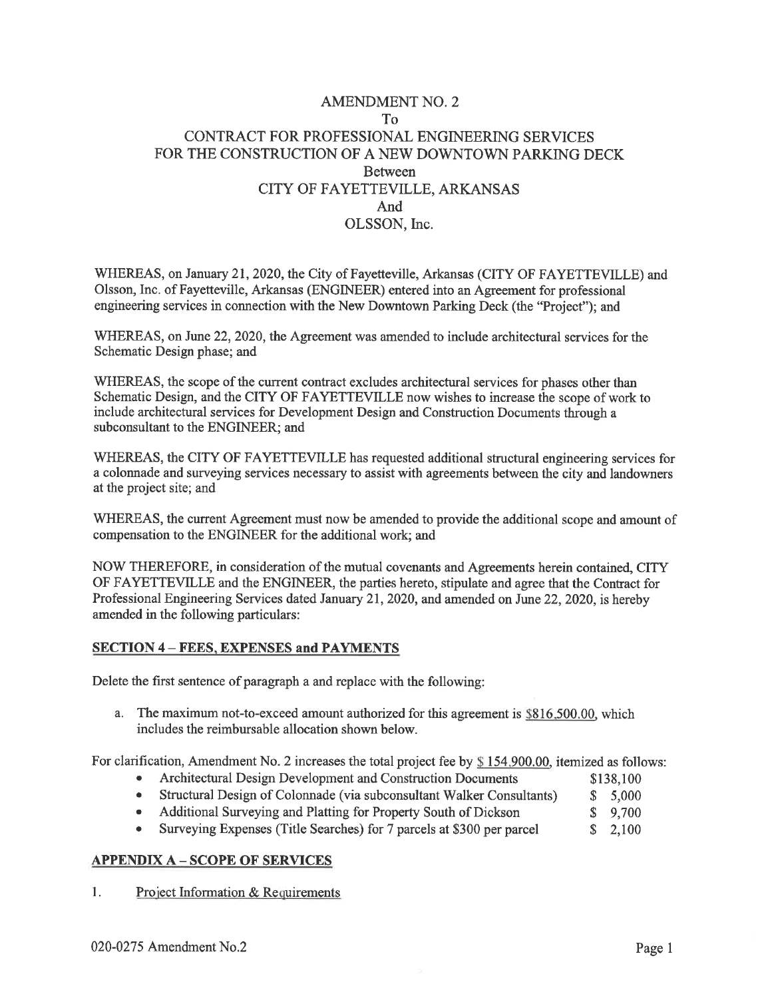# **AMENDMENT NO. 2**  $To^{\dagger}$ CONTRACT FOR PROFESSIONAL ENGINEERING SERVICES FOR THE CONSTRUCTION OF A NEW DOWNTOWN PARKING DECK **Between** CITY OF FAYETTEVILLE, ARKANSAS And OLSSON. Inc.

WHEREAS, on January 21, 2020, the City of Fayetteville, Arkansas (CITY OF FAYETTEVILLE) and Olsson, Inc. of Fayetteville, Arkansas (ENGINEER) entered into an Agreement for professional engineering services in connection with the New Downtown Parking Deck (the "Project"); and

WHEREAS, on June 22, 2020, the Agreement was amended to include architectural services for the Schematic Design phase; and

WHEREAS, the scope of the current contract excludes architectural services for phases other than Schematic Design, and the CITY OF FAYETTEVILLE now wishes to increase the scope of work to include architectural services for Development Design and Construction Documents through a subconsultant to the ENGINEER; and

WHEREAS, the CITY OF FAYETTEVILLE has requested additional structural engineering services for a colonnade and surveying services necessary to assist with agreements between the city and landowners at the project site; and

WHEREAS, the current Agreement must now be amended to provide the additional scope and amount of compensation to the ENGINEER for the additional work; and

NOW THEREFORE, in consideration of the mutual covenants and Agreements herein contained, CITY OF FAYETTEVILLE and the ENGINEER, the parties hereto, stipulate and agree that the Contract for Professional Engineering Services dated January 21, 2020, and amended on June 22, 2020, is hereby amended in the following particulars:

#### **SECTION 4 – FEES, EXPENSES and PAYMENTS**

Delete the first sentence of paragraph a and replace with the following:

a. The maximum not-to-exceed amount authorized for this agreement is \$816,500.00, which includes the reimbursable allocation shown below.

For clarification, Amendment No. 2 increases the total project fee by \$154,900,00, itemized as follows:

- Architectural Design Development and Construction Documents \$138,100
- Structural Design of Colonnade (via subconsultant Walker Consultants)  $$5,000$
- Additional Surveying and Platting for Property South of Dickson  $$9,700$
- Surveying Expenses (Title Searches) for 7 parcels at \$300 per parcel  $$2.100$

#### **APPENDIX A - SCOPE OF SERVICES**

 $\mathbf{1}$ . Project Information & Requirements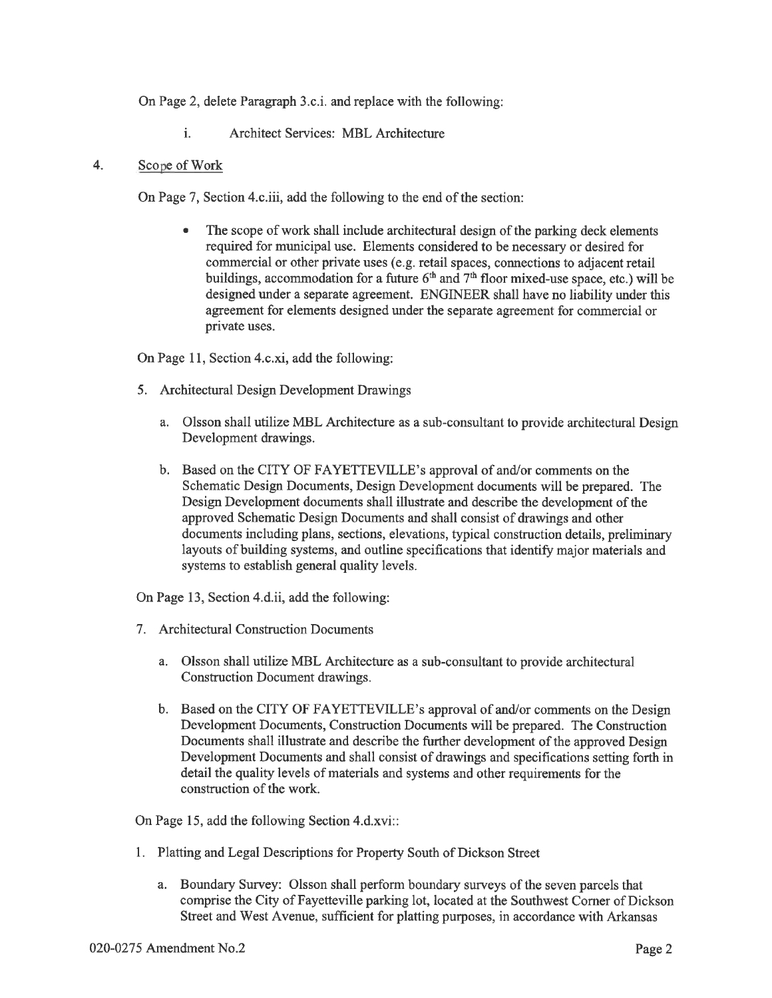On Page 2, delete Paragraph 3.c.i. and replace with the following:

 $\mathbf{i}$ . **Architect Services: MBL Architecture** 

#### $\overline{4}$ Scope of Work

On Page 7, Section 4.c.iii, add the following to the end of the section:

The scope of work shall include architectural design of the parking deck elements required for municipal use. Elements considered to be necessary or desired for commercial or other private uses (e.g. retail spaces, connections to adjacent retail buildings, accommodation for a future  $6<sup>th</sup>$  and  $7<sup>th</sup>$  floor mixed-use space, etc.) will be designed under a separate agreement. ENGINEER shall have no liability under this agreement for elements designed under the separate agreement for commercial or private uses.

On Page 11, Section 4.c.xi, add the following:

- 5. Architectural Design Development Drawings
	- a. Olsson shall utilize MBL Architecture as a sub-consultant to provide architectural Design Development drawings.
	- b. Based on the CITY OF FAYETTEVILLE's approval of and/or comments on the Schematic Design Documents, Design Development documents will be prepared. The Design Development documents shall illustrate and describe the development of the approved Schematic Design Documents and shall consist of drawings and other documents including plans, sections, elevations, typical construction details, preliminary layouts of building systems, and outline specifications that identify major materials and systems to establish general quality levels.

On Page 13, Section 4.d.ii, add the following:

- 7. Architectural Construction Documents
	- a. Olsson shall utilize MBL Architecture as a sub-consultant to provide architectural Construction Document drawings.
	- b. Based on the CITY OF FAYETTEVILLE's approval of and/or comments on the Design Development Documents, Construction Documents will be prepared. The Construction Documents shall illustrate and describe the further development of the approved Design Development Documents and shall consist of drawings and specifications setting forth in detail the quality levels of materials and systems and other requirements for the construction of the work.

On Page 15, add the following Section 4.d.xvi::

- 1. Platting and Legal Descriptions for Property South of Dickson Street
	- a. Boundary Survey: Olsson shall perform boundary surveys of the seven parcels that comprise the City of Fayetteville parking lot, located at the Southwest Corner of Dickson Street and West Avenue, sufficient for platting purposes, in accordance with Arkansas